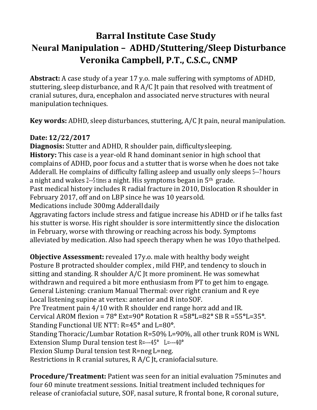## **Barral Institute Case Study Neural Manipulation – ADHD/Stuttering/Sleep Disturbance Veronika Campbell, P.T., C.S.C., CNMP**

**Abstract:** A case study of a year 17 y.o. male suffering with symptoms of ADHD, stuttering, sleep disturbance, and R A/C Jt pain that resolved with treatment of cranial sutures, dura, encephalon and associated nerve structures with neural manipulation techniques.

**Key words:** ADHD, sleep disturbances, stuttering, A/C Jt pain, neural manipulation.

## **Date: 12/22/2017**

**Diagnosis:** Stutter and ADHD, R shoulder pain, difficulty sleeping.

**History:** This case is a year-old R hand dominant senior in high school that complains of ADHD, poor focus and a stutter that is worse when he does not take Adderall. He complains of difficulty falling asleep and usually only sleeps 5--7 hours a night and wakes 2---5 times a night. His symptoms began in 5<sup>th</sup> grade.

Past medical history includes R radial fracture in 2010, Dislocation R shoulder in February 2017, off and on LBP since he was 10 years old.

Medications include 300mg Adderall daily

Aggravating factors include stress and fatigue increase his ADHD or if he talks fast his stutter is worse. His right shoulder is sore intermittently since the dislocation in February, worse with throwing or reaching across his body. Symptoms alleviated by medication. Also had speech therapy when he was 10yo that helped.

**Objective Assessment:** revealed 17y.o. male with healthy body weight Posture B protracted shoulder complex , mild FHP, and tendency to slouch in sitting and standing. R shoulder A/C Jt more prominent. He was somewhat withdrawn and required a bit more enthusiasm from PT to get him to engage. General Listening: cranium Manual Thermal: over right cranium and R eye Local listening supine at vertex: anterior and R into SOF.

Pre Treatment pain 4/10 with R shoulder end range horz add and IR.

Cervical AROM flexion = 78**°** Ext=90**°** Rotation R =58**°**L=82**°** SB R =55**°**L=35**°**. Standing Functional UE NTT: R=45**°** and L=80**°**.

Standing Thoracic/Lumbar Rotation R=50% L=90%, all other trunk ROM is WNL Extension Slump Dural tension test R=---45**°** L=---40**°**

Flexion Slump Dural tension test R=neg L=neg.

Restrictions in R cranial sutures, R A/C Jt, craniofacial suture.

**Procedure/Treatment:** Patient was seen for an initial evaluation 75minutes and four 60 minute treatment sessions. Initial treatment included techniques for release of craniofacial suture, SOF, nasal suture, R frontal bone, R coronal suture,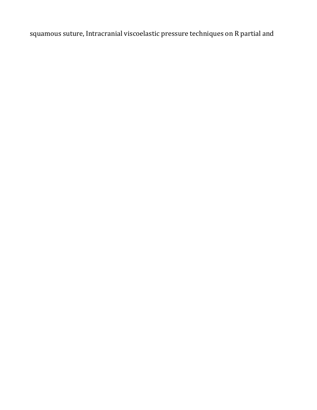squamous suture, Intracranial viscoelastic pressure techniques on R partial and